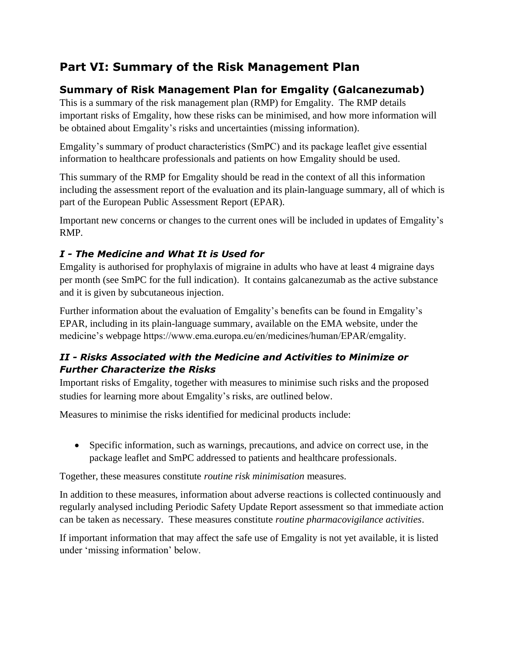# **Part VI: Summary of the Risk Management Plan**

# **Summary of Risk Management Plan for Emgality (Galcanezumab)**

This is a summary of the risk management plan (RMP) for Emgality. The RMP details important risks of Emgality, how these risks can be minimised, and how more information will be obtained about Emgality's risks and uncertainties (missing information).

Emgality's summary of product characteristics (SmPC) and its package leaflet give essential information to healthcare professionals and patients on how Emgality should be used.

This summary of the RMP for Emgality should be read in the context of all this information including the assessment report of the evaluation and its plain-language summary, all of which is part of the European Public Assessment Report (EPAR).

Important new concerns or changes to the current ones will be included in updates of Emgality's RMP.

## *I - The Medicine and What It is Used for*

Emgality is authorised for prophylaxis of migraine in adults who have at least 4 migraine days per month (see SmPC for the full indication). It contains galcanezumab as the active substance and it is given by subcutaneous injection.

Further information about the evaluation of Emgality's benefits can be found in Emgality's EPAR, including in its plain-language summary, available on the EMA website, under the medicine's webpage https://www.ema.europa.eu/en/medicines/human/EPAR/emgality.

## *II - Risks Associated with the Medicine and Activities to Minimize or Further Characterize the Risks*

Important risks of Emgality, together with measures to minimise such risks and the proposed studies for learning more about Emgality's risks, are outlined below.

Measures to minimise the risks identified for medicinal products include:

• Specific information, such as warnings, precautions, and advice on correct use, in the package leaflet and SmPC addressed to patients and healthcare professionals.

Together, these measures constitute *routine risk minimisation* measures.

In addition to these measures, information about adverse reactions is collected continuously and regularly analysed including Periodic Safety Update Report assessment so that immediate action can be taken as necessary. These measures constitute *routine pharmacovigilance activities*.

If important information that may affect the safe use of Emgality is not yet available, it is listed under 'missing information' below.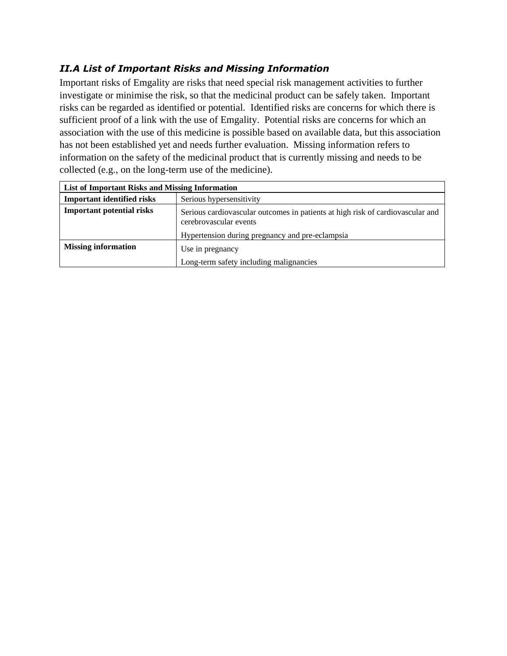## *II.A List of Important Risks and Missing Information*

Important risks of Emgality are risks that need special risk management activities to further investigate or minimise the risk, so that the medicinal product can be safely taken. Important risks can be regarded as identified or potential. Identified risks are concerns for which there is sufficient proof of a link with the use of Emgality. Potential risks are concerns for which an association with the use of this medicine is possible based on available data, but this association has not been established yet and needs further evaluation. Missing information refers to information on the safety of the medicinal product that is currently missing and needs to be collected (e.g., on the long-term use of the medicine).

| List of Important Risks and Missing Information |                                                                                                          |
|-------------------------------------------------|----------------------------------------------------------------------------------------------------------|
| <b>Important identified risks</b>               | Serious hypersensitivity                                                                                 |
| <b>Important potential risks</b>                | Serious cardiovascular outcomes in patients at high risk of cardiovascular and<br>cerebrovascular events |
|                                                 | Hypertension during pregnancy and pre-eclampsia                                                          |
| <b>Missing information</b>                      | Use in pregnancy                                                                                         |
|                                                 | Long-term safety including malignancies                                                                  |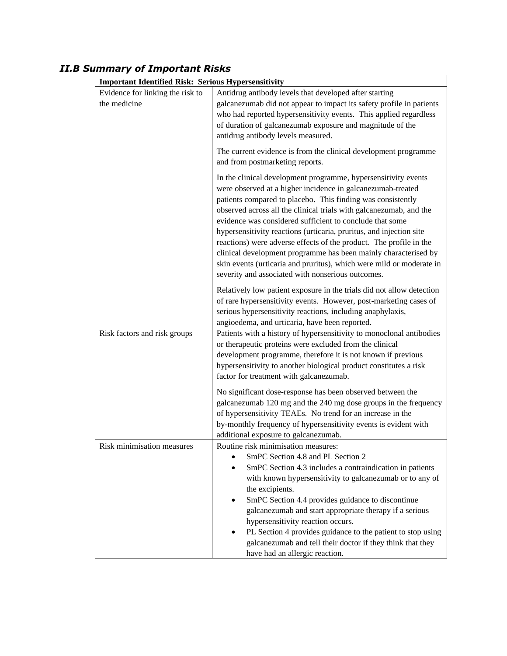## *II.B Summary of Important Risks*

| <b>Important Identified Risk: Serious Hypersensitivity</b> |                                                  |                                                                                                                                                                                                                                                                                                                                                                                                                                                                                                                                                                                                                                                                             |
|------------------------------------------------------------|--------------------------------------------------|-----------------------------------------------------------------------------------------------------------------------------------------------------------------------------------------------------------------------------------------------------------------------------------------------------------------------------------------------------------------------------------------------------------------------------------------------------------------------------------------------------------------------------------------------------------------------------------------------------------------------------------------------------------------------------|
|                                                            | Evidence for linking the risk to<br>the medicine | Antidrug antibody levels that developed after starting<br>galcanezumab did not appear to impact its safety profile in patients<br>who had reported hypersensitivity events. This applied regardless<br>of duration of galcanezumab exposure and magnitude of the<br>antidrug antibody levels measured.                                                                                                                                                                                                                                                                                                                                                                      |
|                                                            |                                                  | The current evidence is from the clinical development programme<br>and from postmarketing reports.                                                                                                                                                                                                                                                                                                                                                                                                                                                                                                                                                                          |
|                                                            |                                                  | In the clinical development programme, hypersensitivity events<br>were observed at a higher incidence in galcanezumab-treated<br>patients compared to placebo. This finding was consistently<br>observed across all the clinical trials with galcanezumab, and the<br>evidence was considered sufficient to conclude that some<br>hypersensitivity reactions (urticaria, pruritus, and injection site<br>reactions) were adverse effects of the product. The profile in the<br>clinical development programme has been mainly characterised by<br>skin events (urticaria and pruritus), which were mild or moderate in<br>severity and associated with nonserious outcomes. |
|                                                            |                                                  | Relatively low patient exposure in the trials did not allow detection<br>of rare hypersensitivity events. However, post-marketing cases of<br>serious hypersensitivity reactions, including anaphylaxis,<br>angioedema, and urticaria, have been reported.                                                                                                                                                                                                                                                                                                                                                                                                                  |
|                                                            | Risk factors and risk groups                     | Patients with a history of hypersensitivity to monoclonal antibodies<br>or therapeutic proteins were excluded from the clinical<br>development programme, therefore it is not known if previous<br>hypersensitivity to another biological product constitutes a risk<br>factor for treatment with galcanezumab.                                                                                                                                                                                                                                                                                                                                                             |
|                                                            |                                                  | No significant dose-response has been observed between the<br>galcanezumab 120 mg and the 240 mg dose groups in the frequency<br>of hypersensitivity TEAEs. No trend for an increase in the<br>by-monthly frequency of hypersensitivity events is evident with<br>additional exposure to galcanezumab.                                                                                                                                                                                                                                                                                                                                                                      |
|                                                            | Risk minimisation measures                       | Routine risk minimisation measures:<br>SmPC Section 4.8 and PL Section 2<br>SmPC Section 4.3 includes a contraindication in patients<br>with known hypersensitivity to galcanezumab or to any of<br>the excipients.<br>SmPC Section 4.4 provides guidance to discontinue<br>galcanezumab and start appropriate therapy if a serious<br>hypersensitivity reaction occurs.<br>PL Section 4 provides guidance to the patient to stop using<br>galcanezumab and tell their doctor if they think that they<br>have had an allergic reaction.                                                                                                                                     |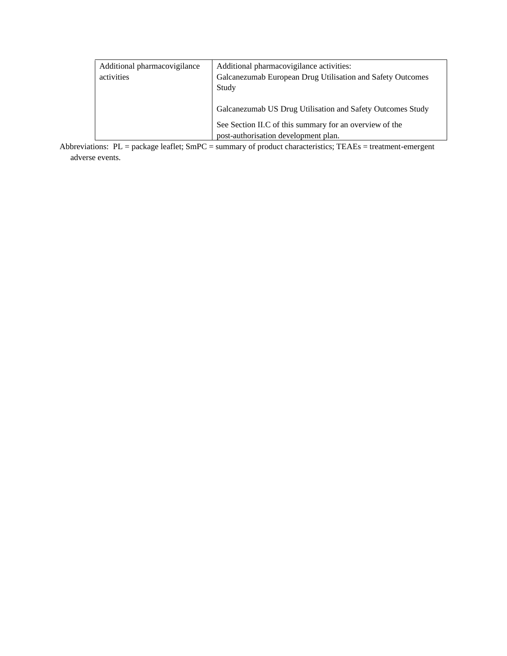| Additional pharmacovigilance | Additional pharmacovigilance activities:                   |
|------------------------------|------------------------------------------------------------|
| activities                   | Galcanezumab European Drug Utilisation and Safety Outcomes |
|                              | Study                                                      |
|                              |                                                            |
|                              | Galcanezumab US Drug Utilisation and Safety Outcomes Study |
|                              | See Section II.C of this summary for an overview of the    |
|                              |                                                            |
|                              | post-authorisation development plan.                       |

Abbreviations: PL = package leaflet; SmPC = summary of product characteristics; TEAEs = treatment-emergent adverse events.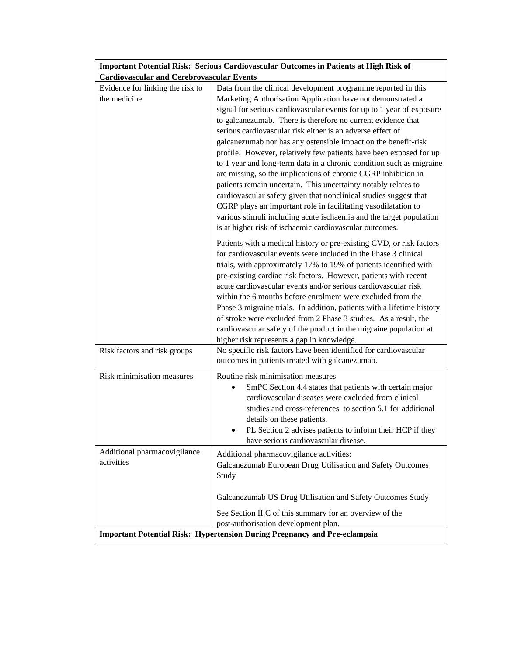|                                                  | Important Potential Risk: Serious Cardiovascular Outcomes in Patients at High Risk of |  |
|--------------------------------------------------|---------------------------------------------------------------------------------------|--|
| <b>Cardiovascular and Cerebrovascular Events</b> |                                                                                       |  |

| Evidence for linking the risk to | Data from the clinical development programme reported in this                                                                         |
|----------------------------------|---------------------------------------------------------------------------------------------------------------------------------------|
| the medicine                     | Marketing Authorisation Application have not demonstrated a                                                                           |
|                                  | signal for serious cardiovascular events for up to 1 year of exposure                                                                 |
|                                  | to galcanezumab. There is therefore no current evidence that                                                                          |
|                                  | serious cardiovascular risk either is an adverse effect of                                                                            |
|                                  | galcanezumab nor has any ostensible impact on the benefit-risk                                                                        |
|                                  | profile. However, relatively few patients have been exposed for up                                                                    |
|                                  | to 1 year and long-term data in a chronic condition such as migraine                                                                  |
|                                  | are missing, so the implications of chronic CGRP inhibition in                                                                        |
|                                  | patients remain uncertain. This uncertainty notably relates to                                                                        |
|                                  | cardiovascular safety given that nonclinical studies suggest that<br>CGRP plays an important role in facilitating vasodilatation to   |
|                                  | various stimuli including acute ischaemia and the target population                                                                   |
|                                  | is at higher risk of ischaemic cardiovascular outcomes.                                                                               |
|                                  |                                                                                                                                       |
|                                  | Patients with a medical history or pre-existing CVD, or risk factors                                                                  |
|                                  | for cardiovascular events were included in the Phase 3 clinical                                                                       |
|                                  | trials, with approximately 17% to 19% of patients identified with<br>pre-existing cardiac risk factors. However, patients with recent |
|                                  | acute cardiovascular events and/or serious cardiovascular risk                                                                        |
|                                  | within the 6 months before enrolment were excluded from the                                                                           |
|                                  | Phase 3 migraine trials. In addition, patients with a lifetime history                                                                |
|                                  | of stroke were excluded from 2 Phase 3 studies. As a result, the                                                                      |
|                                  | cardiovascular safety of the product in the migraine population at                                                                    |
|                                  | higher risk represents a gap in knowledge.                                                                                            |
| Risk factors and risk groups     | No specific risk factors have been identified for cardiovascular                                                                      |
|                                  | outcomes in patients treated with galcanezumab.                                                                                       |
| Risk minimisation measures       | Routine risk minimisation measures                                                                                                    |
|                                  | SmPC Section 4.4 states that patients with certain major                                                                              |
|                                  | cardiovascular diseases were excluded from clinical                                                                                   |
|                                  | studies and cross-references to section 5.1 for additional                                                                            |
|                                  | details on these patients.                                                                                                            |
|                                  | PL Section 2 advises patients to inform their HCP if they                                                                             |
|                                  | have serious cardiovascular disease.                                                                                                  |
| Additional pharmacovigilance     | Additional pharmacovigilance activities:                                                                                              |
| activities                       | Galcanezumab European Drug Utilisation and Safety Outcomes                                                                            |
|                                  | Study                                                                                                                                 |
|                                  |                                                                                                                                       |
|                                  | Galcanezumab US Drug Utilisation and Safety Outcomes Study                                                                            |
|                                  | See Section II.C of this summary for an overview of the                                                                               |
|                                  | post-authorisation development plan.                                                                                                  |
|                                  | <b>Important Potential Risk: Hypertension During Pregnancy and Pre-eclampsia</b>                                                      |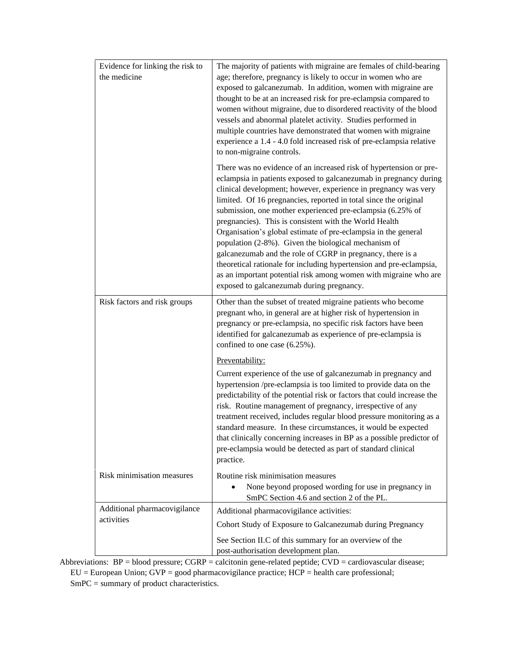| Evidence for linking the risk to<br>the medicine | The majority of patients with migraine are females of child-bearing<br>age; therefore, pregnancy is likely to occur in women who are<br>exposed to galcanezumab. In addition, women with migraine are<br>thought to be at an increased risk for pre-eclampsia compared to<br>women without migraine, due to disordered reactivity of the blood<br>vessels and abnormal platelet activity. Studies performed in<br>multiple countries have demonstrated that women with migraine<br>experience a 1.4 - 4.0 fold increased risk of pre-eclampsia relative<br>to non-migraine controls.                                                                                                                                                                                                   |
|--------------------------------------------------|----------------------------------------------------------------------------------------------------------------------------------------------------------------------------------------------------------------------------------------------------------------------------------------------------------------------------------------------------------------------------------------------------------------------------------------------------------------------------------------------------------------------------------------------------------------------------------------------------------------------------------------------------------------------------------------------------------------------------------------------------------------------------------------|
|                                                  | There was no evidence of an increased risk of hypertension or pre-<br>eclampsia in patients exposed to galcanezumab in pregnancy during<br>clinical development; however, experience in pregnancy was very<br>limited. Of 16 pregnancies, reported in total since the original<br>submission, one mother experienced pre-eclampsia (6.25% of<br>pregnancies). This is consistent with the World Health<br>Organisation's global estimate of pre-eclampsia in the general<br>population (2-8%). Given the biological mechanism of<br>galcanezumab and the role of CGRP in pregnancy, there is a<br>theoretical rationale for including hypertension and pre-eclampsia,<br>as an important potential risk among women with migraine who are<br>exposed to galcanezumab during pregnancy. |
| Risk factors and risk groups                     | Other than the subset of treated migraine patients who become<br>pregnant who, in general are at higher risk of hypertension in<br>pregnancy or pre-eclampsia, no specific risk factors have been<br>identified for galcanezumab as experience of pre-eclampsia is<br>confined to one case (6.25%).                                                                                                                                                                                                                                                                                                                                                                                                                                                                                    |
|                                                  | Preventability:<br>Current experience of the use of galcanezumab in pregnancy and<br>hypertension /pre-eclampsia is too limited to provide data on the<br>predictability of the potential risk or factors that could increase the<br>risk. Routine management of pregnancy, irrespective of any<br>treatment received, includes regular blood pressure monitoring as a<br>standard measure. In these circumstances, it would be expected<br>that clinically concerning increases in BP as a possible predictor of<br>pre-eclampsia would be detected as part of standard clinical<br>practice.                                                                                                                                                                                         |
| Risk minimisation measures                       | Routine risk minimisation measures<br>None beyond proposed wording for use in pregnancy in<br>SmPC Section 4.6 and section 2 of the PL.                                                                                                                                                                                                                                                                                                                                                                                                                                                                                                                                                                                                                                                |
| Additional pharmacovigilance<br>activities       | Additional pharmacovigilance activities:<br>Cohort Study of Exposure to Galcanezumab during Pregnancy<br>See Section II.C of this summary for an overview of the<br>post-authorisation development plan.                                                                                                                                                                                                                                                                                                                                                                                                                                                                                                                                                                               |

Abbreviations: BP = blood pressure; CGRP = calcitonin gene-related peptide; CVD = cardiovascular disease; EU = European Union; GVP = good pharmacovigilance practice; HCP = health care professional; SmPC = summary of product characteristics.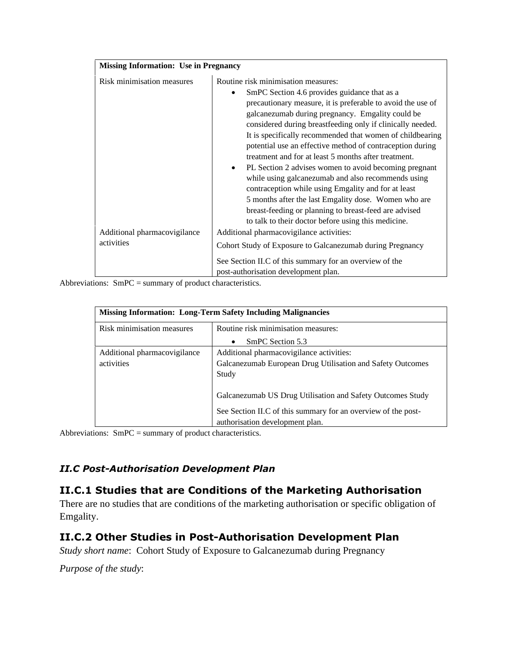| <b>Missing Information: Use in Pregnancy</b> |                                                                                                                                                                                                                                                                                                                                                                                                                                                                                                                                                                                                                                                                                                                                                                                                                   |
|----------------------------------------------|-------------------------------------------------------------------------------------------------------------------------------------------------------------------------------------------------------------------------------------------------------------------------------------------------------------------------------------------------------------------------------------------------------------------------------------------------------------------------------------------------------------------------------------------------------------------------------------------------------------------------------------------------------------------------------------------------------------------------------------------------------------------------------------------------------------------|
| Risk minimisation measures                   | Routine risk minimisation measures:<br>SmPC Section 4.6 provides guidance that as a<br>precautionary measure, it is preferable to avoid the use of<br>galcanezumab during pregnancy. Emgality could be<br>considered during breastfeeding only if clinically needed.<br>It is specifically recommended that women of childbearing<br>potential use an effective method of contraception during<br>treatment and for at least 5 months after treatment.<br>PL Section 2 advises women to avoid becoming pregnant<br>$\bullet$<br>while using galcanezumab and also recommends using<br>contraception while using Emgality and for at least<br>5 months after the last Emgality dose. Women who are<br>breast-feeding or planning to breast-feed are advised<br>to talk to their doctor before using this medicine. |
| Additional pharmacovigilance<br>activities   | Additional pharmacovigilance activities:<br>Cohort Study of Exposure to Galcanezumab during Pregnancy<br>See Section II.C of this summary for an overview of the<br>post-authorisation development plan.                                                                                                                                                                                                                                                                                                                                                                                                                                                                                                                                                                                                          |

Abbreviations: SmPC = summary of product characteristics.

| <b>Missing Information: Long-Term Safety Including Malignancies</b> |                                                               |
|---------------------------------------------------------------------|---------------------------------------------------------------|
| Risk minimisation measures                                          | Routine risk minimisation measures:                           |
|                                                                     | SmPC Section 5.3<br>$\bullet$                                 |
| Additional pharmacovigilance                                        | Additional pharmacovigilance activities:                      |
| activities                                                          | Galcanezumab European Drug Utilisation and Safety Outcomes    |
|                                                                     | Study                                                         |
|                                                                     | Galcanezumab US Drug Utilisation and Safety Outcomes Study    |
|                                                                     | See Section II.C of this summary for an overview of the post- |
|                                                                     | authorisation development plan.                               |

Abbreviations: SmPC = summary of product characteristics.

### *II.C Post-Authorisation Development Plan*

### **II.C.1 Studies that are Conditions of the Marketing Authorisation**

There are no studies that are conditions of the marketing authorisation or specific obligation of Emgality.

## **II.C.2 Other Studies in Post-Authorisation Development Plan**

*Study short name*: Cohort Study of Exposure to Galcanezumab during Pregnancy

*Purpose of the study*: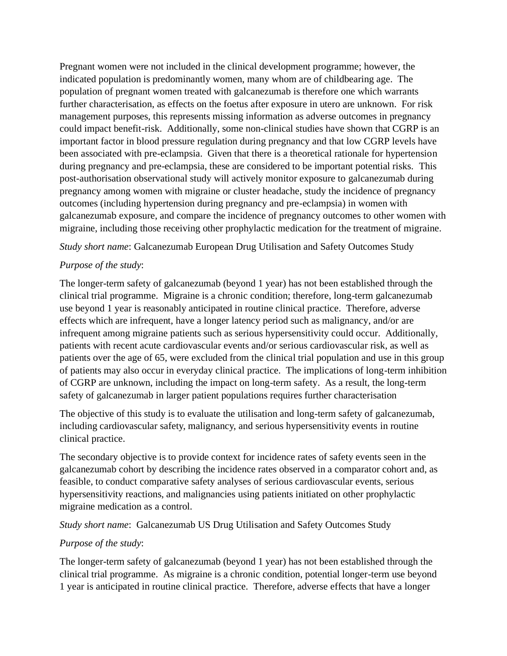Pregnant women were not included in the clinical development programme; however, the indicated population is predominantly women, many whom are of childbearing age. The population of pregnant women treated with galcanezumab is therefore one which warrants further characterisation, as effects on the foetus after exposure in utero are unknown. For risk management purposes, this represents missing information as adverse outcomes in pregnancy could impact benefit-risk. Additionally, some non-clinical studies have shown that CGRP is an important factor in blood pressure regulation during pregnancy and that low CGRP levels have been associated with pre-eclampsia. Given that there is a theoretical rationale for hypertension during pregnancy and pre-eclampsia, these are considered to be important potential risks. This post-authorisation observational study will actively monitor exposure to galcanezumab during pregnancy among women with migraine or cluster headache, study the incidence of pregnancy outcomes (including hypertension during pregnancy and pre-eclampsia) in women with galcanezumab exposure, and compare the incidence of pregnancy outcomes to other women with migraine, including those receiving other prophylactic medication for the treatment of migraine.

*Study short name*: Galcanezumab European Drug Utilisation and Safety Outcomes Study

#### *Purpose of the study*:

The longer-term safety of galcanezumab (beyond 1 year) has not been established through the clinical trial programme. Migraine is a chronic condition; therefore, long-term galcanezumab use beyond 1 year is reasonably anticipated in routine clinical practice. Therefore, adverse effects which are infrequent, have a longer latency period such as malignancy, and/or are infrequent among migraine patients such as serious hypersensitivity could occur. Additionally, patients with recent acute cardiovascular events and/or serious cardiovascular risk, as well as patients over the age of 65, were excluded from the clinical trial population and use in this group of patients may also occur in everyday clinical practice. The implications of long-term inhibition of CGRP are unknown, including the impact on long-term safety. As a result, the long-term safety of galcanezumab in larger patient populations requires further characterisation

The objective of this study is to evaluate the utilisation and long-term safety of galcanezumab, including cardiovascular safety, malignancy, and serious hypersensitivity events in routine clinical practice.

The secondary objective is to provide context for incidence rates of safety events seen in the galcanezumab cohort by describing the incidence rates observed in a comparator cohort and, as feasible, to conduct comparative safety analyses of serious cardiovascular events, serious hypersensitivity reactions, and malignancies using patients initiated on other prophylactic migraine medication as a control.

*Study short name*: Galcanezumab US Drug Utilisation and Safety Outcomes Study

### *Purpose of the study*:

The longer-term safety of galcanezumab (beyond 1 year) has not been established through the clinical trial programme. As migraine is a chronic condition, potential longer-term use beyond 1 year is anticipated in routine clinical practice. Therefore, adverse effects that have a longer